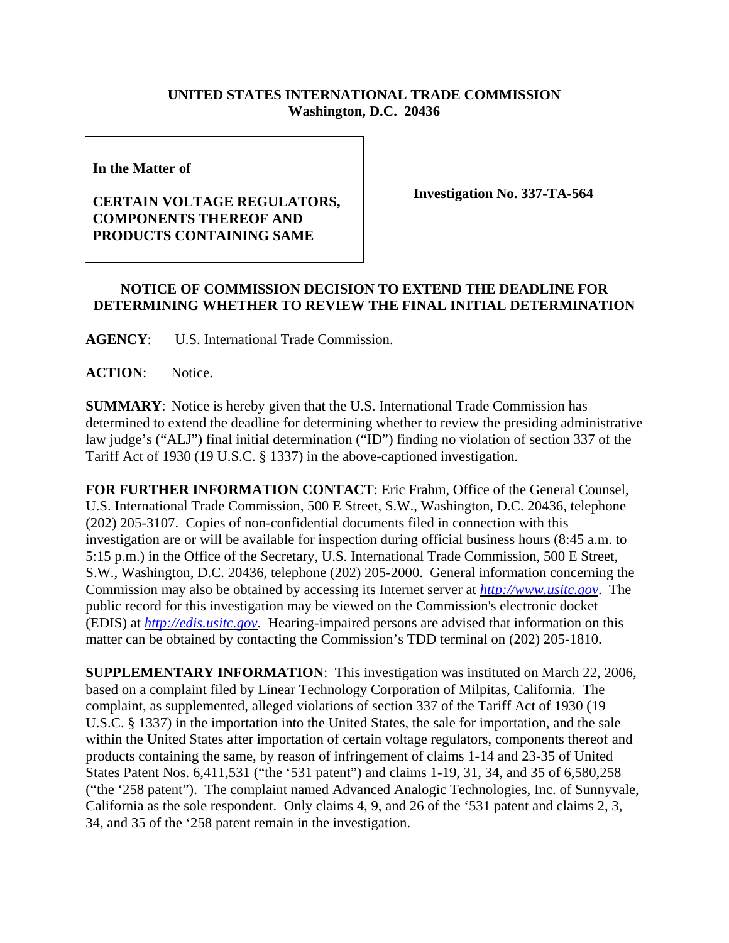## **UNITED STATES INTERNATIONAL TRADE COMMISSION Washington, D.C. 20436**

**In the Matter of** 

## **CERTAIN VOLTAGE REGULATORS, COMPONENTS THEREOF AND PRODUCTS CONTAINING SAME**

**Investigation No. 337-TA-564**

## **NOTICE OF COMMISSION DECISION TO EXTEND THE DEADLINE FOR DETERMINING WHETHER TO REVIEW THE FINAL INITIAL DETERMINATION**

**AGENCY**: U.S. International Trade Commission.

ACTION: Notice.

**SUMMARY**: Notice is hereby given that the U.S. International Trade Commission has determined to extend the deadline for determining whether to review the presiding administrative law judge's ("ALJ") final initial determination ("ID") finding no violation of section 337 of the Tariff Act of 1930 (19 U.S.C. § 1337) in the above-captioned investigation.

**FOR FURTHER INFORMATION CONTACT**: Eric Frahm, Office of the General Counsel, U.S. International Trade Commission, 500 E Street, S.W., Washington, D.C. 20436, telephone (202) 205-3107. Copies of non-confidential documents filed in connection with this investigation are or will be available for inspection during official business hours (8:45 a.m. to 5:15 p.m.) in the Office of the Secretary, U.S. International Trade Commission, 500 E Street, S.W., Washington, D.C. 20436, telephone (202) 205-2000. General information concerning the Commission may also be obtained by accessing its Internet server at *http://www.usitc.gov*. The public record for this investigation may be viewed on the Commission's electronic docket (EDIS) at *http://edis.usitc.gov*. Hearing-impaired persons are advised that information on this matter can be obtained by contacting the Commission's TDD terminal on (202) 205-1810.

**SUPPLEMENTARY INFORMATION**: This investigation was instituted on March 22, 2006, based on a complaint filed by Linear Technology Corporation of Milpitas, California. The complaint, as supplemented, alleged violations of section 337 of the Tariff Act of 1930 (19 U.S.C. § 1337) in the importation into the United States, the sale for importation, and the sale within the United States after importation of certain voltage regulators, components thereof and products containing the same, by reason of infringement of claims 1-14 and 23-35 of United States Patent Nos. 6,411,531 ("the '531 patent") and claims 1-19, 31, 34, and 35 of 6,580,258 ("the '258 patent"). The complaint named Advanced Analogic Technologies, Inc. of Sunnyvale, California as the sole respondent. Only claims 4, 9, and 26 of the '531 patent and claims 2, 3, 34, and 35 of the '258 patent remain in the investigation.